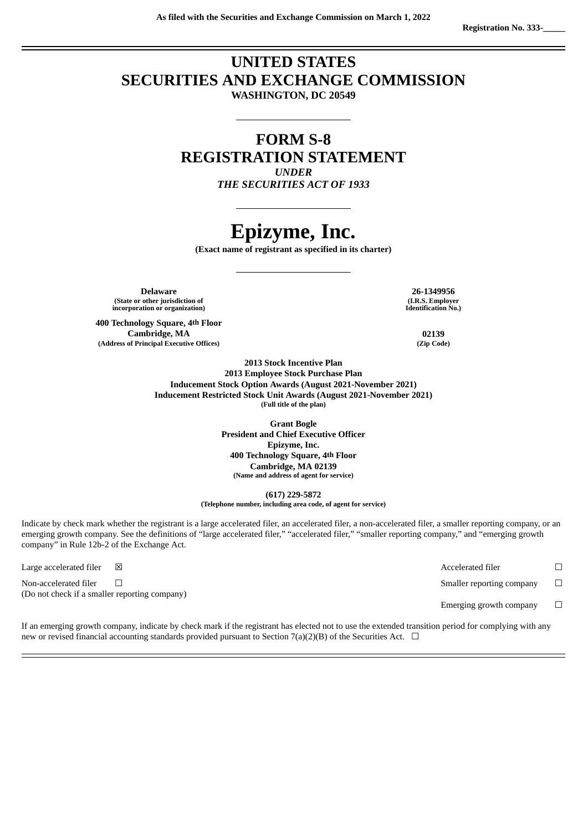### **UNITED STATES SECURITIES AND EXCHANGE COMMISSION WASHINGTON, DC 20549**

### **FORM S-8 REGISTRATION STATEMENT** *UNDER*

*THE SECURITIES ACT OF 1933*

# **Epizyme, Inc.**

**(Exact name of registrant as specified in its charter)**

**Delaware 26-1349956 (State or other jurisdiction of incorporation or organization)**

**400 Technology Square, 4th Floor Cambridge, MA 02139 (Address of Principal Executive Offices) (Zip Code)**

**(I.R.S. Employer Identification No.)**

**2013 Stock Incentive Plan 2013 Employee Stock Purchase Plan Inducement Stock Option Awards (August 2021-November 2021) Inducement Restricted Stock Unit Awards (August 2021-November 2021) (Full title of the plan)**

> **Grant Bogle President and Chief Executive Officer Epizyme, Inc. 400 Technology Square, 4th Floor Cambridge, MA 02139 (Name and address of agent for service)**

> > **(617) 229-5872**

**(Telephone number, including area code, of agent for service)**

Indicate by check mark whether the registrant is a large accelerated filer, an accelerated filer, a non-accelerated filer, a smaller reporting company, or an emerging growth company. See the definitions of "large accelerated filer," "accelerated filer," "smaller reporting company," and "emerging growth company" in Rule 12b-2 of the Exchange Act.

Non-accelerated filer  $\Box$   $\Box$ (Do not check if a smaller reporting company)

Large accelerated filer  $□$   $□$ 

Emerging growth company  $\Box$ 

If an emerging growth company, indicate by check mark if the registrant has elected not to use the extended transition period for complying with any new or revised financial accounting standards provided pursuant to Section 7(a)(2)(B) of the Securities Act.  $\Box$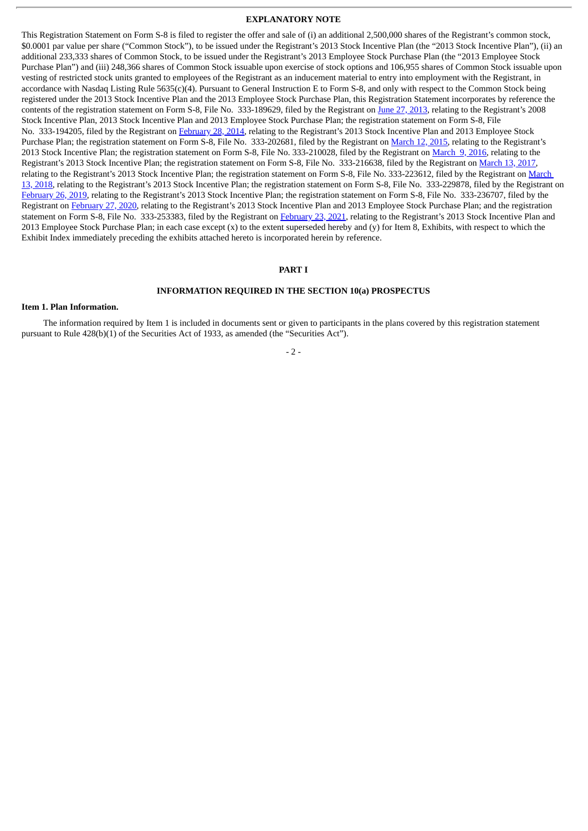#### **EXPLANATORY NOTE**

This Registration Statement on Form S-8 is filed to register the offer and sale of (i) an additional 2,500,000 shares of the Registrant's common stock, \$0.0001 par value per share ("Common Stock"), to be issued under the Registrant's 2013 Stock Incentive Plan (the "2013 Stock Incentive Plan"), (ii) an additional 233,333 shares of Common Stock, to be issued under the Registrant's 2013 Employee Stock Purchase Plan (the "2013 Employee Stock Purchase Plan") and (iii) 248,366 shares of Common Stock issuable upon exercise of stock options and 106,955 shares of Common Stock issuable upon vesting of restricted stock units granted to employees of the Registrant as an inducement material to entry into employment with the Registrant, in accordance with Nasdaq Listing Rule 5635(c)(4). Pursuant to General Instruction E to Form S-8, and only with respect to the Common Stock being registered under the 2013 Stock Incentive Plan and the 2013 Employee Stock Purchase Plan, this Registration Statement incorporates by reference the contents of the registration statement on Form S-8, File No. 333-189629, filed by the Registrant on June 27, [2013,](http://www.sec.gov/Archives/edgar/data/1571498/000119312513274275/d560647ds8.htm) relating to the Registrant's 2008 Stock Incentive Plan, 2013 Stock Incentive Plan and 2013 Employee Stock Purchase Plan; the registration statement on Form S-8, File No. 333-194205, filed by the Registrant on [February](http://www.sec.gov/Archives/edgar/data/1571498/000119312514073720/d684604ds8.htm) 28, 2014, relating to the Registrant's 2013 Stock Incentive Plan and 2013 Employee Stock Purchase Plan; the registration statement on Form S-8, File No. 333-202681, filed by the Registrant on [March](http://www.sec.gov/Archives/edgar/data/1571498/000119312515088465/d889613ds8.htm) 12, 2015, relating to the Registrant's 2013 Stock Incentive Plan; the registration statement on Form S-8, File No. 333-210028, filed by the Registrant on [March](http://www.sec.gov/Archives/edgar/data/1571498/000119312516497520/d143466ds8.htm) 9, 2016, relating to the Registrant's 2013 Stock Incentive Plan; the registration statement on Form S-8, File No. 333-216638, filed by the Registrant on [March](http://www.sec.gov/Archives/edgar/data/1571498/000119312517079471/d281997ds8.htm) 13, 2017, relating to the Registrant's 2013 Stock Incentive Plan; the registration statement on Form S-8, File No. [333-223612,](http://www.sec.gov/Archives/edgar/data/1571498/000119312518079895/d548179ds8.htm) filed by the Registrant on March 13, 2018, relating to the Registrant's 2013 Stock Incentive Plan; the registration statement on Form S-8, File No. 333-229878, filed by the Registrant on [February](http://www.sec.gov/Archives/edgar/data/1571498/000119312519051933/d650414ds8.htm) 26, 2019, relating to the Registrant's 2013 Stock Incentive Plan; the registration statement on Form S-8, File No. 333-236707, filed by the Registrant on [February](http://www.sec.gov/Archives/edgar/data/1571498/000119312520052854/d887374ds8.htm) 27, 2020, relating to the Registrant's 2013 Stock Incentive Plan and 2013 Employee Stock Purchase Plan; and the registration statement on Form S-8, File No. 333-253383, filed by the Registrant on [February](http://www.sec.gov/Archives/edgar/data/1571498/000119312521051480/d96543ds8.htm) 23, 2021, relating to the Registrant's 2013 Stock Incentive Plan and 2013 Employee Stock Purchase Plan; in each case except (x) to the extent superseded hereby and (y) for Item 8, Exhibits, with respect to which the Exhibit Index immediately preceding the exhibits attached hereto is incorporated herein by reference.

#### **PART I**

#### **INFORMATION REQUIRED IN THE SECTION 10(a) PROSPECTUS**

#### **Item 1. Plan Information.**

The information required by Item 1 is included in documents sent or given to participants in the plans covered by this registration statement pursuant to Rule 428(b)(1) of the Securities Act of 1933, as amended (the "Securities Act").

#### $-2-$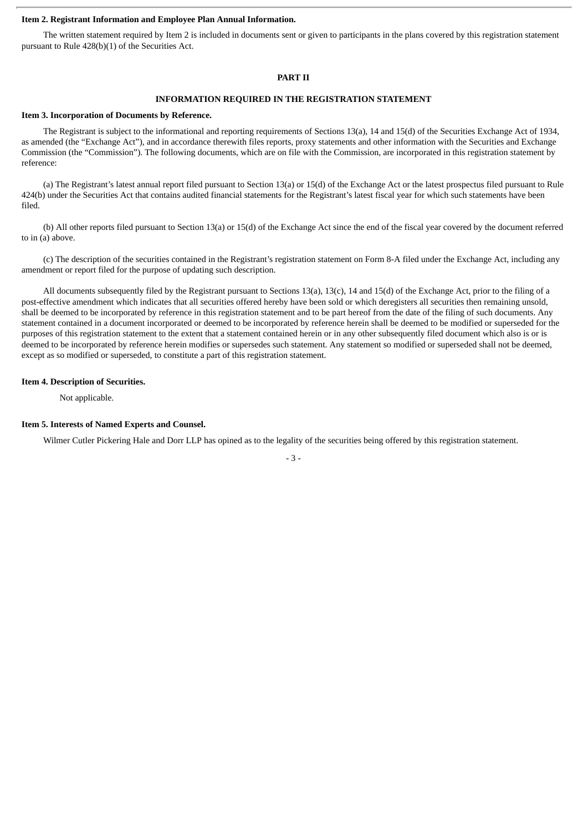#### **Item 2. Registrant Information and Employee Plan Annual Information.**

The written statement required by Item 2 is included in documents sent or given to participants in the plans covered by this registration statement pursuant to Rule 428(b)(1) of the Securities Act.

#### **PART II**

#### **INFORMATION REQUIRED IN THE REGISTRATION STATEMENT**

#### **Item 3. Incorporation of Documents by Reference.**

The Registrant is subject to the informational and reporting requirements of Sections 13(a), 14 and 15(d) of the Securities Exchange Act of 1934, as amended (the "Exchange Act"), and in accordance therewith files reports, proxy statements and other information with the Securities and Exchange Commission (the "Commission"). The following documents, which are on file with the Commission, are incorporated in this registration statement by reference:

(a) The Registrant's latest annual report filed pursuant to Section 13(a) or 15(d) of the Exchange Act or the latest prospectus filed pursuant to Rule 424(b) under the Securities Act that contains audited financial statements for the Registrant's latest fiscal year for which such statements have been filed.

(b) All other reports filed pursuant to Section 13(a) or 15(d) of the Exchange Act since the end of the fiscal year covered by the document referred to in (a) above.

(c) The description of the securities contained in the Registrant's registration statement on Form 8-A filed under the Exchange Act, including any amendment or report filed for the purpose of updating such description.

All documents subsequently filed by the Registrant pursuant to Sections 13(a), 13(c), 14 and 15(d) of the Exchange Act, prior to the filing of a post-effective amendment which indicates that all securities offered hereby have been sold or which deregisters all securities then remaining unsold, shall be deemed to be incorporated by reference in this registration statement and to be part hereof from the date of the filing of such documents. Any statement contained in a document incorporated or deemed to be incorporated by reference herein shall be deemed to be modified or superseded for the purposes of this registration statement to the extent that a statement contained herein or in any other subsequently filed document which also is or is deemed to be incorporated by reference herein modifies or supersedes such statement. Any statement so modified or superseded shall not be deemed, except as so modified or superseded, to constitute a part of this registration statement.

#### **Item 4. Description of Securities.**

Not applicable.

#### **Item 5. Interests of Named Experts and Counsel.**

Wilmer Cutler Pickering Hale and Dorr LLP has opined as to the legality of the securities being offered by this registration statement.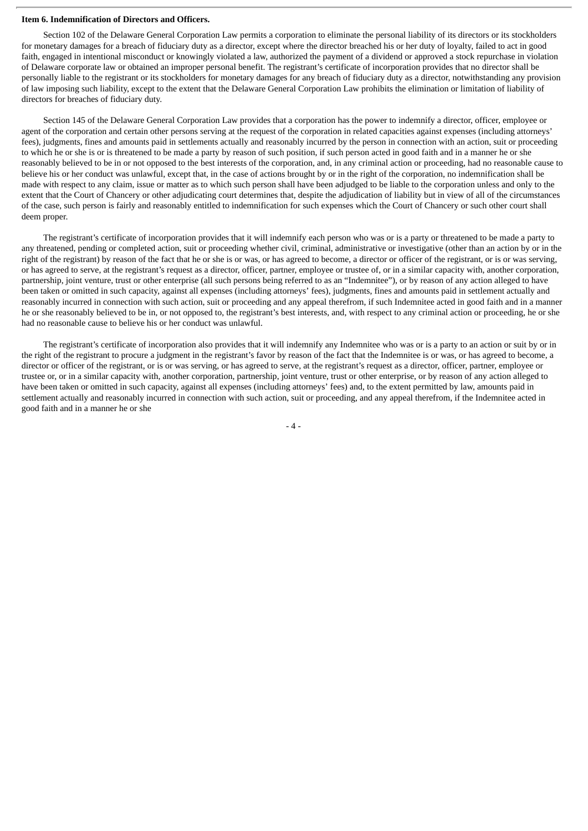#### **Item 6. Indemnification of Directors and Officers.**

Section 102 of the Delaware General Corporation Law permits a corporation to eliminate the personal liability of its directors or its stockholders for monetary damages for a breach of fiduciary duty as a director, except where the director breached his or her duty of loyalty, failed to act in good faith, engaged in intentional misconduct or knowingly violated a law, authorized the payment of a dividend or approved a stock repurchase in violation of Delaware corporate law or obtained an improper personal benefit. The registrant's certificate of incorporation provides that no director shall be personally liable to the registrant or its stockholders for monetary damages for any breach of fiduciary duty as a director, notwithstanding any provision of law imposing such liability, except to the extent that the Delaware General Corporation Law prohibits the elimination or limitation of liability of directors for breaches of fiduciary duty.

Section 145 of the Delaware General Corporation Law provides that a corporation has the power to indemnify a director, officer, employee or agent of the corporation and certain other persons serving at the request of the corporation in related capacities against expenses (including attorneys' fees), judgments, fines and amounts paid in settlements actually and reasonably incurred by the person in connection with an action, suit or proceeding to which he or she is or is threatened to be made a party by reason of such position, if such person acted in good faith and in a manner he or she reasonably believed to be in or not opposed to the best interests of the corporation, and, in any criminal action or proceeding, had no reasonable cause to believe his or her conduct was unlawful, except that, in the case of actions brought by or in the right of the corporation, no indemnification shall be made with respect to any claim, issue or matter as to which such person shall have been adjudged to be liable to the corporation unless and only to the extent that the Court of Chancery or other adjudicating court determines that, despite the adjudication of liability but in view of all of the circumstances of the case, such person is fairly and reasonably entitled to indemnification for such expenses which the Court of Chancery or such other court shall deem proper.

The registrant's certificate of incorporation provides that it will indemnify each person who was or is a party or threatened to be made a party to any threatened, pending or completed action, suit or proceeding whether civil, criminal, administrative or investigative (other than an action by or in the right of the registrant) by reason of the fact that he or she is or was, or has agreed to become, a director or officer of the registrant, or is or was serving, or has agreed to serve, at the registrant's request as a director, officer, partner, employee or trustee of, or in a similar capacity with, another corporation, partnership, joint venture, trust or other enterprise (all such persons being referred to as an "Indemnitee"), or by reason of any action alleged to have been taken or omitted in such capacity, against all expenses (including attorneys' fees), judgments, fines and amounts paid in settlement actually and reasonably incurred in connection with such action, suit or proceeding and any appeal therefrom, if such Indemnitee acted in good faith and in a manner he or she reasonably believed to be in, or not opposed to, the registrant's best interests, and, with respect to any criminal action or proceeding, he or she had no reasonable cause to believe his or her conduct was unlawful.

The registrant's certificate of incorporation also provides that it will indemnify any Indemnitee who was or is a party to an action or suit by or in the right of the registrant to procure a judgment in the registrant's favor by reason of the fact that the Indemnitee is or was, or has agreed to become, a director or officer of the registrant, or is or was serving, or has agreed to serve, at the registrant's request as a director, officer, partner, employee or trustee or, or in a similar capacity with, another corporation, partnership, joint venture, trust or other enterprise, or by reason of any action alleged to have been taken or omitted in such capacity, against all expenses (including attorneys' fees) and, to the extent permitted by law, amounts paid in settlement actually and reasonably incurred in connection with such action, suit or proceeding, and any appeal therefrom, if the Indemnitee acted in good faith and in a manner he or she

- 4 -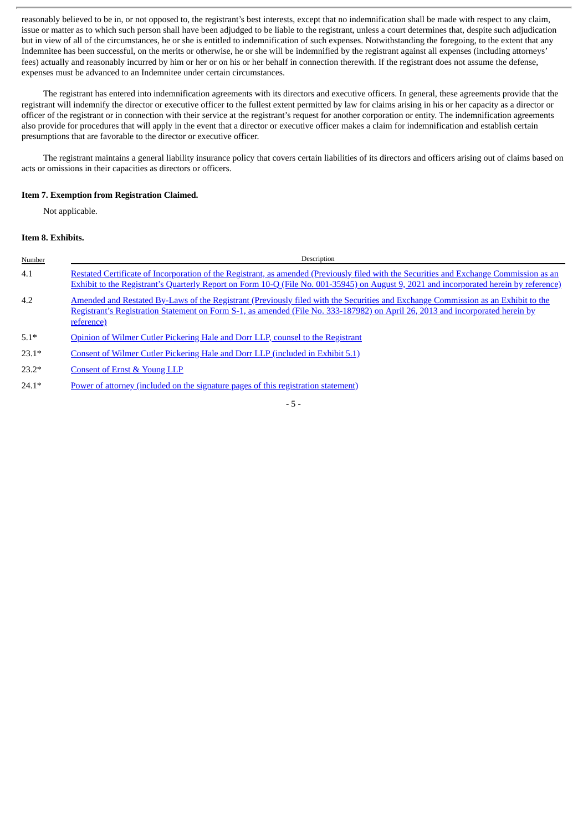reasonably believed to be in, or not opposed to, the registrant's best interests, except that no indemnification shall be made with respect to any claim, issue or matter as to which such person shall have been adjudged to be liable to the registrant, unless a court determines that, despite such adjudication but in view of all of the circumstances, he or she is entitled to indemnification of such expenses. Notwithstanding the foregoing, to the extent that any Indemnitee has been successful, on the merits or otherwise, he or she will be indemnified by the registrant against all expenses (including attorneys' fees) actually and reasonably incurred by him or her or on his or her behalf in connection therewith. If the registrant does not assume the defense, expenses must be advanced to an Indemnitee under certain circumstances.

The registrant has entered into indemnification agreements with its directors and executive officers. In general, these agreements provide that the registrant will indemnify the director or executive officer to the fullest extent permitted by law for claims arising in his or her capacity as a director or officer of the registrant or in connection with their service at the registrant's request for another corporation or entity. The indemnification agreements also provide for procedures that will apply in the event that a director or executive officer makes a claim for indemnification and establish certain presumptions that are favorable to the director or executive officer.

The registrant maintains a general liability insurance policy that covers certain liabilities of its directors and officers arising out of claims based on acts or omissions in their capacities as directors or officers.

#### **Item 7. Exemption from Registration Claimed.**

Not applicable.

#### **Item 8. Exhibits.**

| Number  | Description                                                                                                                                                                                                                                                                       |
|---------|-----------------------------------------------------------------------------------------------------------------------------------------------------------------------------------------------------------------------------------------------------------------------------------|
| 4.1     | Restated Certificate of Incorporation of the Registrant, as amended (Previously filed with the Securities and Exchange Commission as an<br>Exhibit to the Registrant's Quarterly Report on Form 10-Q (File No. 001-35945) on August 9, 2021 and incorporated herein by reference) |
| 4.2     | Amended and Restated By-Laws of the Registrant (Previously filed with the Securities and Exchange Commission as an Exhibit to the<br>Registrant's Registration Statement on Form S-1, as amended (File No. 333-187982) on April 26, 2013 and incorporated herein by<br>reference) |
| $5.1*$  | Opinion of Wilmer Cutler Pickering Hale and Dorr LLP, counsel to the Registrant                                                                                                                                                                                                   |
| $23.1*$ | Consent of Wilmer Cutler Pickering Hale and Dorr LLP (included in Exhibit 5.1)                                                                                                                                                                                                    |
| $23.2*$ | Consent of Ernst & Young LLP                                                                                                                                                                                                                                                      |
| $24.1*$ | Power of attorney (included on the signature pages of this registration statement)                                                                                                                                                                                                |

- 5 -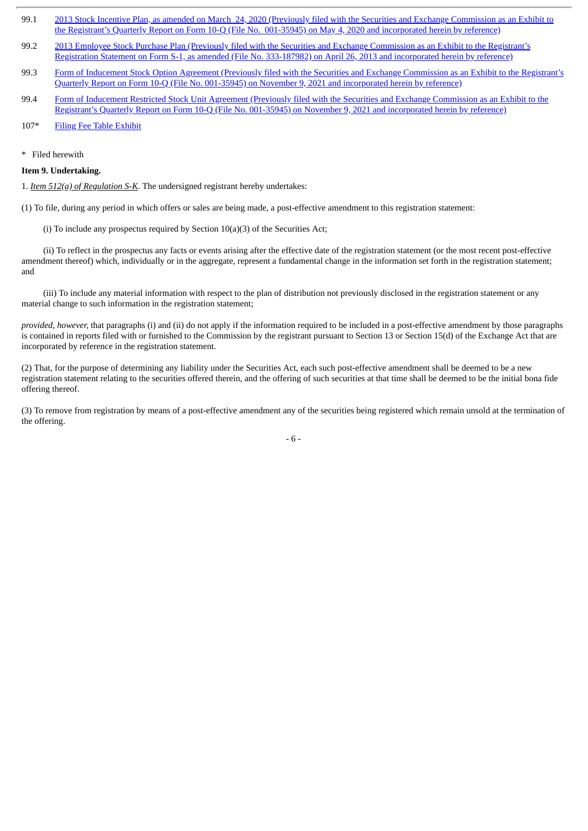- 99.1 2013 Stock Incentive Plan, as amended on March 24, 2020 (Previously filed with the Securities and Exchange [Commission](http://www.sec.gov/Archives/edgar/data/0001571498/000156459020020616/epzm-ex102_276.htm) as an Exhibit to the Registrant's Quarterly Report on Form 10-Q (File No. 001-35945) on May 4, 2020 and incorporated herein by reference)
- 99.2 2013 Employee Stock Purchase Plan (Previously filed with the Securities and Exchange Commission as an Exhibit to the Registrant's Registration Statement on Form S-1, as amended (File No. [333-187982\)](http://www.sec.gov/Archives/edgar/data/1571498/000119312513176470/d519847dex109.htm) on April 26, 2013 and incorporated herein by reference)
- 99.3 Form of Inducement Stock Option Agreement (Previously filed with the Securities and Exchange [Commission](http://www.sec.gov/Archives/edgar/data/0001571498/000095017021003566/epzm-ex10_1.htm) as an Exhibit to the Registrant's Quarterly Report on Form 10-Q (File No. 001-35945) on November 9, 2021 and incorporated herein by reference)
- 99.4 Form of Inducement Restricted Stock Unit Agreement (Previously filed with the Securities and Exchange [Commission](http://www.sec.gov/Archives/edgar/data/0001571498/000095017021003566/epzm-ex10_2.htm) as an Exhibit to the Registrant's Quarterly Report on Form 10-Q (File No. 001-35945) on November 9, 2021 and incorporated herein by reference)

```
107* Filing Fee Table Exhibit
```
\* Filed herewith

#### **Item 9. Undertaking.**

1. *Item 512(a) of Regulation S-K*. The undersigned registrant hereby undertakes:

(1) To file, during any period in which offers or sales are being made, a post-effective amendment to this registration statement:

(i) To include any prospectus required by Section  $10(a)(3)$  of the Securities Act;

(ii) To reflect in the prospectus any facts or events arising after the effective date of the registration statement (or the most recent post-effective amendment thereof) which, individually or in the aggregate, represent a fundamental change in the information set forth in the registration statement; and

(iii) To include any material information with respect to the plan of distribution not previously disclosed in the registration statement or any material change to such information in the registration statement;

*provided, however,* that paragraphs (i) and (ii) do not apply if the information required to be included in a post-effective amendment by those paragraphs is contained in reports filed with or furnished to the Commission by the registrant pursuant to Section 13 or Section 15(d) of the Exchange Act that are incorporated by reference in the registration statement.

(2) That, for the purpose of determining any liability under the Securities Act, each such post-effective amendment shall be deemed to be a new registration statement relating to the securities offered therein, and the offering of such securities at that time shall be deemed to be the initial bona fide offering thereof.

(3) To remove from registration by means of a post-effective amendment any of the securities being registered which remain unsold at the termination of the offering.

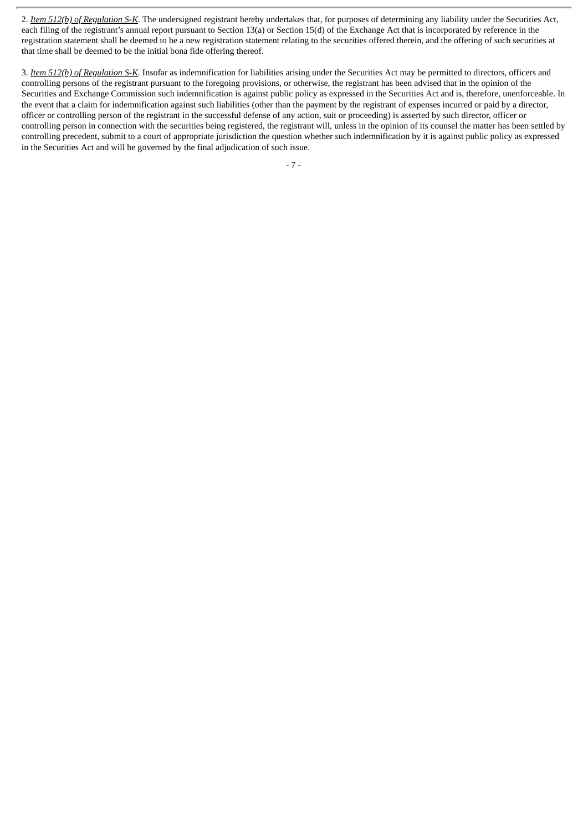2. *Item 512(b) of Regulation S-K*. The undersigned registrant hereby undertakes that, for purposes of determining any liability under the Securities Act, each filing of the registrant's annual report pursuant to Section 13(a) or Section 15(d) of the Exchange Act that is incorporated by reference in the registration statement shall be deemed to be a new registration statement relating to the securities offered therein, and the offering of such securities at that time shall be deemed to be the initial bona fide offering thereof.

3. *Item 512(h) of Regulation S-K*. Insofar as indemnification for liabilities arising under the Securities Act may be permitted to directors, officers and controlling persons of the registrant pursuant to the foregoing provisions, or otherwise, the registrant has been advised that in the opinion of the Securities and Exchange Commission such indemnification is against public policy as expressed in the Securities Act and is, therefore, unenforceable. In the event that a claim for indemnification against such liabilities (other than the payment by the registrant of expenses incurred or paid by a director, officer or controlling person of the registrant in the successful defense of any action, suit or proceeding) is asserted by such director, officer or controlling person in connection with the securities being registered, the registrant will, unless in the opinion of its counsel the matter has been settled by controlling precedent, submit to a court of appropriate jurisdiction the question whether such indemnification by it is against public policy as expressed in the Securities Act and will be governed by the final adjudication of such issue.

- 7 -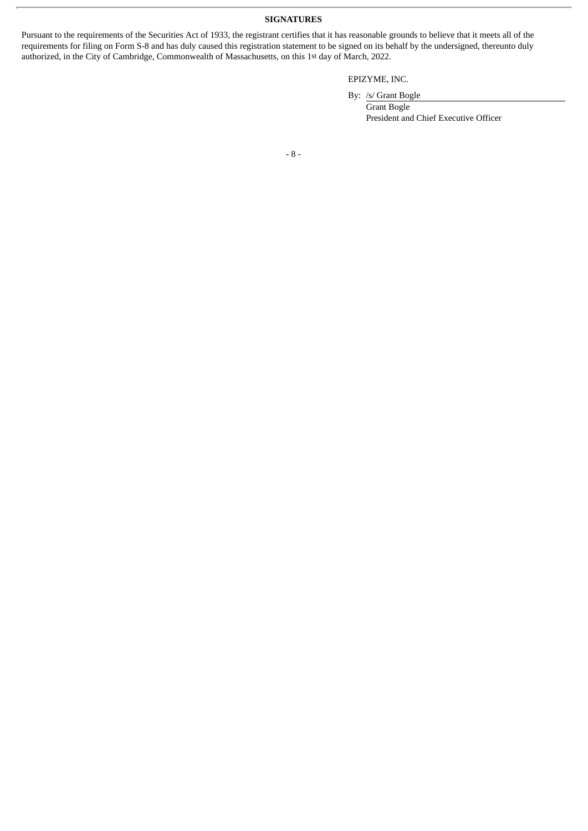**SIGNATURES**

Pursuant to the requirements of the Securities Act of 1933, the registrant certifies that it has reasonable grounds to believe that it meets all of the requirements for filing on Form S-8 and has duly caused this registration statement to be signed on its behalf by the undersigned, thereunto duly authorized, in the City of Cambridge, Commonwealth of Massachusetts, on this 1st day of March, 2022.

EPIZYME, INC.

By: /s/ Grant Bogle

Grant Bogle President and Chief Executive Officer

- 8 -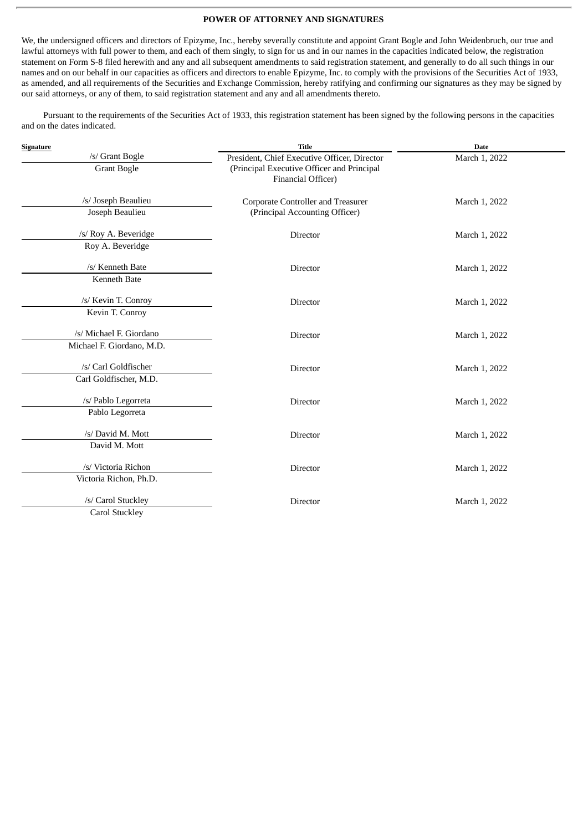#### **POWER OF ATTORNEY AND SIGNATURES**

<span id="page-8-0"></span>We, the undersigned officers and directors of Epizyme, Inc., hereby severally constitute and appoint Grant Bogle and John Weidenbruch, our true and lawful attorneys with full power to them, and each of them singly, to sign for us and in our names in the capacities indicated below, the registration statement on Form S-8 filed herewith and any and all subsequent amendments to said registration statement, and generally to do all such things in our names and on our behalf in our capacities as officers and directors to enable Epizyme, Inc. to comply with the provisions of the Securities Act of 1933, as amended, and all requirements of the Securities and Exchange Commission, hereby ratifying and confirming our signatures as they may be signed by our said attorneys, or any of them, to said registration statement and any and all amendments thereto.

Pursuant to the requirements of the Securities Act of 1933, this registration statement has been signed by the following persons in the capacities and on the dates indicated.

| Signature                                            | <b>Title</b>                                                                                                     | <b>Date</b>   |
|------------------------------------------------------|------------------------------------------------------------------------------------------------------------------|---------------|
| /s/ Grant Bogle<br><b>Grant Bogle</b>                | President, Chief Executive Officer, Director<br>(Principal Executive Officer and Principal<br>Financial Officer) | March 1, 2022 |
| /s/ Joseph Beaulieu<br>Joseph Beaulieu               | Corporate Controller and Treasurer<br>(Principal Accounting Officer)                                             | March 1, 2022 |
| /s/ Roy A. Beveridge<br>Roy A. Beveridge             | Director                                                                                                         | March 1, 2022 |
| /s/ Kenneth Bate<br>Kenneth Bate                     | Director                                                                                                         | March 1, 2022 |
| /s/ Kevin T. Conroy<br>Kevin T. Conroy               | Director                                                                                                         | March 1, 2022 |
| /s/ Michael F. Giordano<br>Michael F. Giordano, M.D. | Director                                                                                                         | March 1, 2022 |
| /s/ Carl Goldfischer<br>Carl Goldfischer, M.D.       | Director                                                                                                         | March 1, 2022 |
| /s/ Pablo Legorreta<br>Pablo Legorreta               | Director                                                                                                         | March 1, 2022 |
| /s/ David M. Mott<br>David M. Mott                   | Director                                                                                                         | March 1, 2022 |
| /s/ Victoria Richon<br>Victoria Richon, Ph.D.        | Director                                                                                                         | March 1, 2022 |
| /s/ Carol Stuckley<br>Carol Stuckley                 | Director                                                                                                         | March 1, 2022 |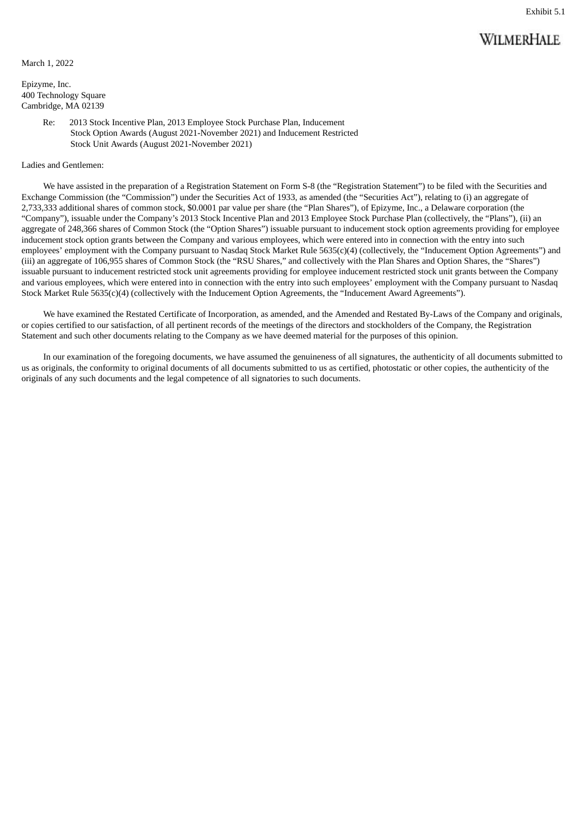## **WILMERHALE**

<span id="page-9-0"></span>March 1, 2022

Epizyme, Inc. 400 Technology Square Cambridge, MA 02139

> Re: 2013 Stock Incentive Plan, 2013 Employee Stock Purchase Plan, Inducement Stock Option Awards (August 2021-November 2021) and Inducement Restricted Stock Unit Awards (August 2021-November 2021)

#### Ladies and Gentlemen:

We have assisted in the preparation of a Registration Statement on Form S-8 (the "Registration Statement") to be filed with the Securities and Exchange Commission (the "Commission") under the Securities Act of 1933, as amended (the "Securities Act"), relating to (i) an aggregate of 2,733,333 additional shares of common stock, \$0.0001 par value per share (the "Plan Shares"), of Epizyme, Inc., a Delaware corporation (the "Company"), issuable under the Company's 2013 Stock Incentive Plan and 2013 Employee Stock Purchase Plan (collectively, the "Plans"), (ii) an aggregate of 248,366 shares of Common Stock (the "Option Shares") issuable pursuant to inducement stock option agreements providing for employee inducement stock option grants between the Company and various employees, which were entered into in connection with the entry into such employees' employment with the Company pursuant to Nasdaq Stock Market Rule 5635(c)(4) (collectively, the "Inducement Option Agreements") and (iii) an aggregate of 106,955 shares of Common Stock (the "RSU Shares," and collectively with the Plan Shares and Option Shares, the "Shares") issuable pursuant to inducement restricted stock unit agreements providing for employee inducement restricted stock unit grants between the Company and various employees, which were entered into in connection with the entry into such employees' employment with the Company pursuant to Nasdaq Stock Market Rule 5635(c)(4) (collectively with the Inducement Option Agreements, the "Inducement Award Agreements").

We have examined the Restated Certificate of Incorporation, as amended, and the Amended and Restated By-Laws of the Company and originals, or copies certified to our satisfaction, of all pertinent records of the meetings of the directors and stockholders of the Company, the Registration Statement and such other documents relating to the Company as we have deemed material for the purposes of this opinion.

In our examination of the foregoing documents, we have assumed the genuineness of all signatures, the authenticity of all documents submitted to us as originals, the conformity to original documents of all documents submitted to us as certified, photostatic or other copies, the authenticity of the originals of any such documents and the legal competence of all signatories to such documents.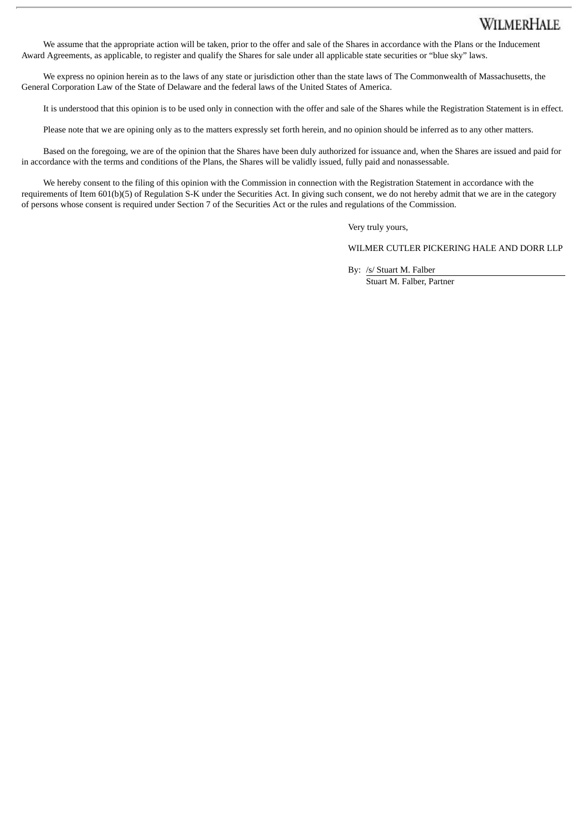## **WILMERHALE**

We assume that the appropriate action will be taken, prior to the offer and sale of the Shares in accordance with the Plans or the Inducement Award Agreements, as applicable, to register and qualify the Shares for sale under all applicable state securities or "blue sky" laws.

We express no opinion herein as to the laws of any state or jurisdiction other than the state laws of The Commonwealth of Massachusetts, the General Corporation Law of the State of Delaware and the federal laws of the United States of America.

It is understood that this opinion is to be used only in connection with the offer and sale of the Shares while the Registration Statement is in effect.

Please note that we are opining only as to the matters expressly set forth herein, and no opinion should be inferred as to any other matters.

Based on the foregoing, we are of the opinion that the Shares have been duly authorized for issuance and, when the Shares are issued and paid for in accordance with the terms and conditions of the Plans, the Shares will be validly issued, fully paid and nonassessable.

We hereby consent to the filing of this opinion with the Commission in connection with the Registration Statement in accordance with the requirements of Item 601(b)(5) of Regulation S-K under the Securities Act. In giving such consent, we do not hereby admit that we are in the category of persons whose consent is required under Section 7 of the Securities Act or the rules and regulations of the Commission.

Very truly yours,

WILMER CUTLER PICKERING HALE AND DORR LLP

By: /s/ Stuart M. Falber

Stuart M. Falber, Partner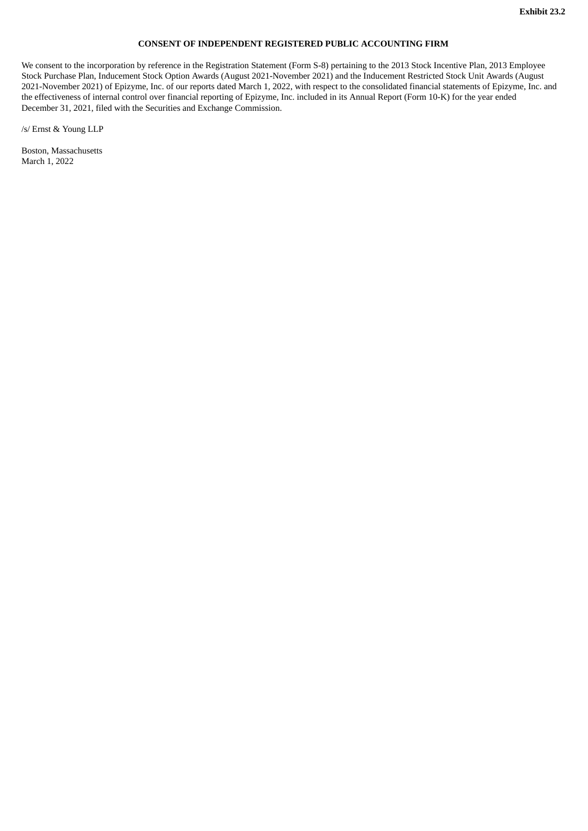#### **CONSENT OF INDEPENDENT REGISTERED PUBLIC ACCOUNTING FIRM**

<span id="page-11-0"></span>We consent to the incorporation by reference in the Registration Statement (Form S-8) pertaining to the 2013 Stock Incentive Plan, 2013 Employee Stock Purchase Plan, Inducement Stock Option Awards (August 2021-November 2021) and the Inducement Restricted Stock Unit Awards (August 2021-November 2021) of Epizyme, Inc. of our reports dated March 1, 2022, with respect to the consolidated financial statements of Epizyme, Inc. and the effectiveness of internal control over financial reporting of Epizyme, Inc. included in its Annual Report (Form 10-K) for the year ended December 31, 2021, filed with the Securities and Exchange Commission.

/s/ Ernst & Young LLP

Boston, Massachusetts March 1, 2022